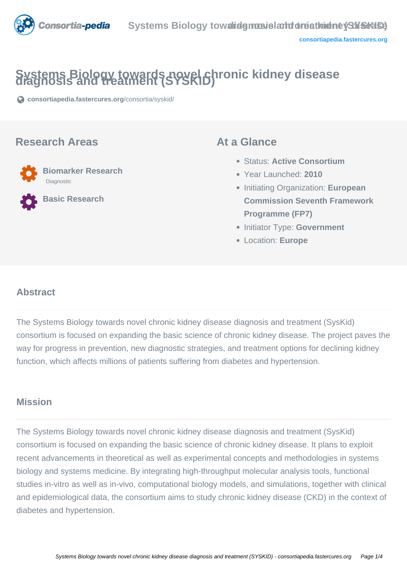

# **Systems Biology towards novel chronic kidney disease diagnosis and treatment (SYSKID)**

**[consortiapedia.fastercures.org](https://consortiapedia.fastercures.org/consortia/syskid/)**[/consortia/syskid/](https://consortiapedia.fastercures.org/consortia/syskid/)

#### **Research Areas**



**Basic Research**

#### **At a Glance**

- Status: **Active Consortium**
- Year Launched: **2010**
- **Initiating Organization: European Commission Seventh Framework Programme (FP7)**
- **Initiator Type: Government**
- Location: **Europe**

#### $\overline{a}$ **Abstract**

The Systems Biology towards novel chronic kidney disease diagnosis and treatment (SysKid) consortium is focused on expanding the basic science of chronic kidney disease. The project paves the way for progress in prevention, new diagnostic strategies, and treatment options for declining kidney function, which affects millions of patients suffering from diabetes and hypertension.

### **Mission**

The Systems Biology towards novel chronic kidney disease diagnosis and treatment (SysKid) consortium is focused on expanding the basic science of chronic kidney disease. It plans to exploit recent advancements in theoretical as well as experimental concepts and methodologies in systems biology and systems medicine. By integrating high-throughput molecular analysis tools, functional studies in-vitro as well as in-vivo, computational biology models, and simulations, together with clinical and epidemiological data, the consortium aims to study chronic kidney disease (CKD) in the context of diabetes and hypertension.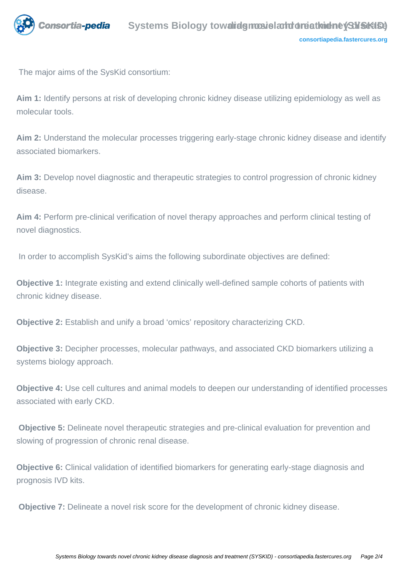

The major aims of the SysKid consortium:

**Aim 1:** Identify persons at risk of developing chronic kidney disease utilizing epidemiology as well as molecular tools.

**Aim 2:** Understand the molecular processes triggering early-stage chronic kidney disease and identify associated biomarkers.

**Aim 3:** Develop novel diagnostic and therapeutic strategies to control progression of chronic kidney disease.

**Aim 4:** Perform pre-clinical verification of novel therapy approaches and perform clinical testing of novel diagnostics.

In order to accomplish SysKid's aims the following subordinate objectives are defined:

**Objective 1:** Integrate existing and extend clinically well-defined sample cohorts of patients with chronic kidney disease.

**Objective 2:** Establish and unify a broad 'omics' repository characterizing CKD.

**Objective 3:** Decipher processes, molecular pathways, and associated CKD biomarkers utilizing a systems biology approach.

**Objective 4:** Use cell cultures and animal models to deepen our understanding of identified processes associated with early CKD.

 **Objective 5:** Delineate novel therapeutic strategies and pre-clinical evaluation for prevention and slowing of progression of chronic renal disease.

**Objective 6:** Clinical validation of identified biomarkers for generating early-stage diagnosis and prognosis IVD kits.

**Objective 7:** Delineate a novel risk score for the development of chronic kidney disease.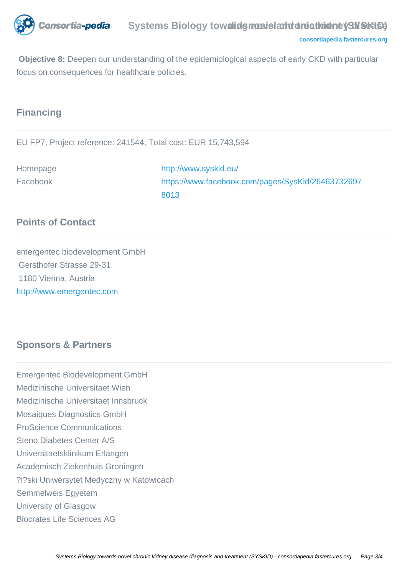

 **Objective 8:** Deepen our understanding of the epidemiological aspects of early CKD with particular focus on consequences for healthcare policies.

#### **Financing**

EU FP7, Project reference: 241544, Total cost: EUR 15,743,594

Homepage <http://www.syskid.eu/> Facebook [https://www.facebook.com/pages/SysKid/26463732697](https://www.facebook.com/pages/SysKid/264637326978013) [8013](https://www.facebook.com/pages/SysKid/264637326978013)

# **Points of Contact**

emergentec biodevelopment GmbH Gersthofer Strasse 29-31 1180 Vienna, Austria <http://www.emergentec.com>

# **Sponsors & Partners**

Emergentec Biodevelopment GmbH Medizinische Universitaet Wien Medizinische Universitaet Innsbruck Mosaiques Diagnostics GmbH ProScience Communications Steno Diabetes Center A/S Universitaetsklinikum Erlangen Academisch Ziekenhuis Groningen ?l?ski Uniwersytet Medyczny w Katowicach Semmelweis Egyetem University of Glasgow Biocrates Life Sciences AG